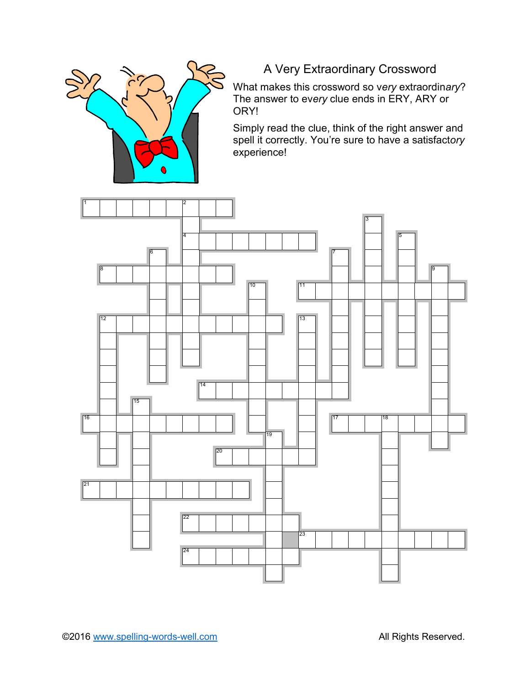

## A Very Extraordinary Crossword

What makes this crossword so v*ery* extraordin*ary*? The answer to ev*ery* clue ends in ERY, ARY or ORY!

Simply read the clue, think of the right answer and spell it correctly. You're sure to have a satisfact*ory* experience!